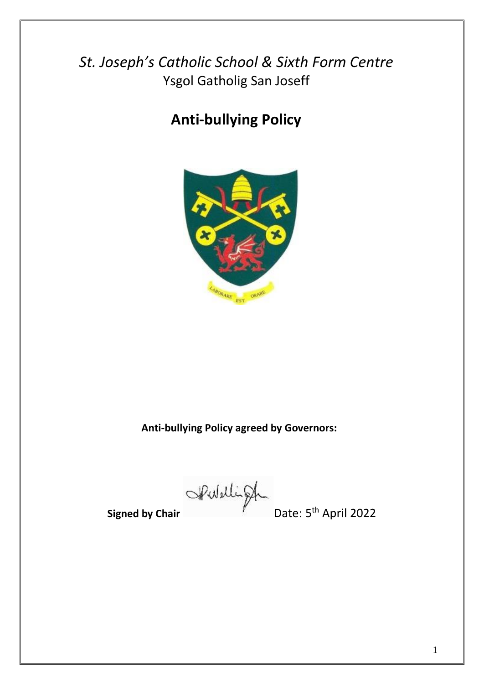*St. Joseph's Catholic School & Sixth Form Centre* Ysgol Gatholig San Joseff

# **Anti-bullying Policy**



**Anti-bullying Policy agreed by Governors:**

Signed by Chair **Pulliph** 

Date: 5<sup>th</sup> April 2022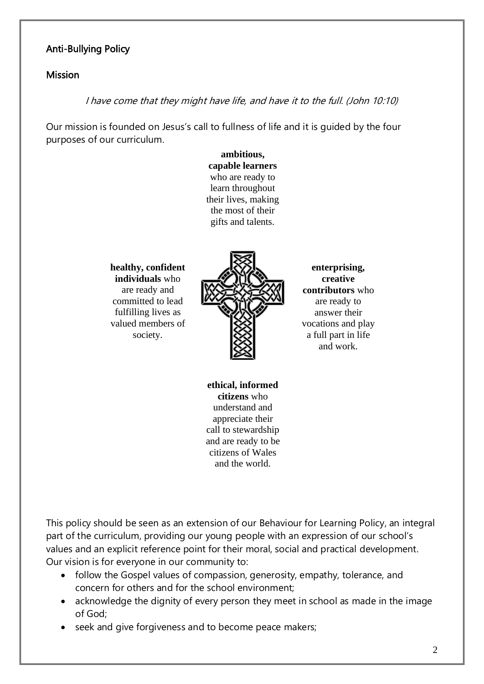## Anti-Bullying Policy

#### **Mission**

#### I have come that they might have life, and have it to the full. (John 10:10)

Our mission is founded on Jesus's call to fullness of life and it is guided by the four purposes of our curriculum.

> **ambitious, capable learners** who are ready to learn throughout their lives, making the most of their gifts and talents.

**healthy, confident individuals** who are ready and committed to lead fulfilling lives as valued members of society.



**enterprising, creative contributors** who are ready to answer their vocations and play a full part in life and work.

**ethical, informed citizens** who understand and appreciate their call to stewardship and are ready to be citizens of Wales and the world.

This policy should be seen as an extension of our Behaviour for Learning Policy, an integral part of the curriculum, providing our young people with an expression of our school's values and an explicit reference point for their moral, social and practical development. Our vision is for everyone in our community to:

- follow the Gospel values of compassion, generosity, empathy, tolerance, and concern for others and for the school environment;
- acknowledge the dignity of every person they meet in school as made in the image of God;
- seek and give forgiveness and to become peace makers;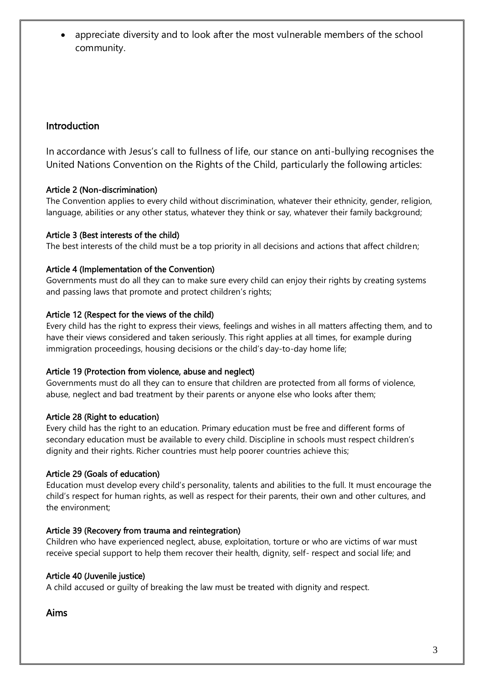• appreciate diversity and to look after the most vulnerable members of the school community.

## Introduction

In accordance with Jesus's call to fullness of life, our stance on anti-bullying recognises the United Nations Convention on the Rights of the Child, particularly the following articles:

#### Article 2 (Non-discrimination)

The Convention applies to every child without discrimination, whatever their ethnicity, gender, religion, language, abilities or any other status, whatever they think or say, whatever their family background;

#### Article 3 (Best interests of the child)

The best interests of the child must be a top priority in all decisions and actions that affect children;

#### Article 4 (Implementation of the Convention)

Governments must do all they can to make sure every child can enjoy their rights by creating systems and passing laws that promote and protect children's rights;

#### Article 12 (Respect for the views of the child)

Every child has the right to express their views, feelings and wishes in all matters affecting them, and to have their views considered and taken seriously. This right applies at all times, for example during immigration proceedings, housing decisions or the child's day-to-day home life;

#### Article 19 (Protection from violence, abuse and neglect)

Governments must do all they can to ensure that children are protected from all forms of violence, abuse, neglect and bad treatment by their parents or anyone else who looks after them;

#### Article 28 (Right to education)

Every child has the right to an education. Primary education must be free and different forms of secondary education must be available to every child. Discipline in schools must respect children's dignity and their rights. Richer countries must help poorer countries achieve this;

## Article 29 (Goals of education)

Education must develop every child's personality, talents and abilities to the full. It must encourage the child's respect for human rights, as well as respect for their parents, their own and other cultures, and the environment;

## Article 39 (Recovery from trauma and reintegration)

Children who have experienced neglect, abuse, exploitation, torture or who are victims of war must receive special support to help them recover their health, dignity, self- respect and social life; and

## Article 40 (Juvenile justice)

A child accused or guilty of breaking the law must be treated with dignity and respect.

Aims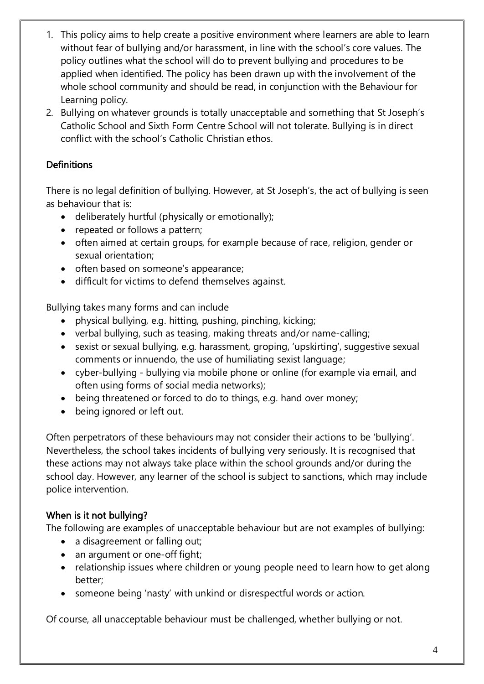- 1. This policy aims to help create a positive environment where learners are able to learn without fear of bullying and/or harassment, in line with the school's core values. The policy outlines what the school will do to prevent bullying and procedures to be applied when identified. The policy has been drawn up with the involvement of the whole school community and should be read, in conjunction with the Behaviour for Learning policy.
- 2. Bullying on whatever grounds is totally unacceptable and something that St Joseph's Catholic School and Sixth Form Centre School will not tolerate. Bullying is in direct conflict with the school's Catholic Christian ethos.

# **Definitions**

There is no legal definition of bullying. However, at St Joseph's, the act of bullying is seen as behaviour that is:

- deliberately hurtful (physically or emotionally);
- repeated or follows a pattern;
- often aimed at certain groups, for example because of race, religion, gender or sexual orientation;
- often based on someone's appearance;
- difficult for victims to defend themselves against.

Bullying takes many forms and can include

- physical bullying, e.g. hitting, pushing, pinching, kicking;
- verbal bullying, such as teasing, making threats and/or name-calling;
- sexist or sexual bullying, e.g. harassment, groping, 'upskirting', suggestive sexual comments or innuendo, the use of humiliating sexist language;
- cyber-bullying bullying via mobile phone or online (for example via email, and often using forms of social media networks);
- being threatened or forced to do to things, e.g. hand over money;
- being ignored or left out.

Often perpetrators of these behaviours may not consider their actions to be 'bullying'. Nevertheless, the school takes incidents of bullying very seriously. It is recognised that these actions may not always take place within the school grounds and/or during the school day. However, any learner of the school is subject to sanctions, which may include police intervention.

## When is it not bullying?

The following are examples of unacceptable behaviour but are not examples of bullying:

- a disagreement or falling out;
- an argument or one-off fight;
- relationship issues where children or young people need to learn how to get along better;
- someone being 'nasty' with unkind or disrespectful words or action.

Of course, all unacceptable behaviour must be challenged, whether bullying or not.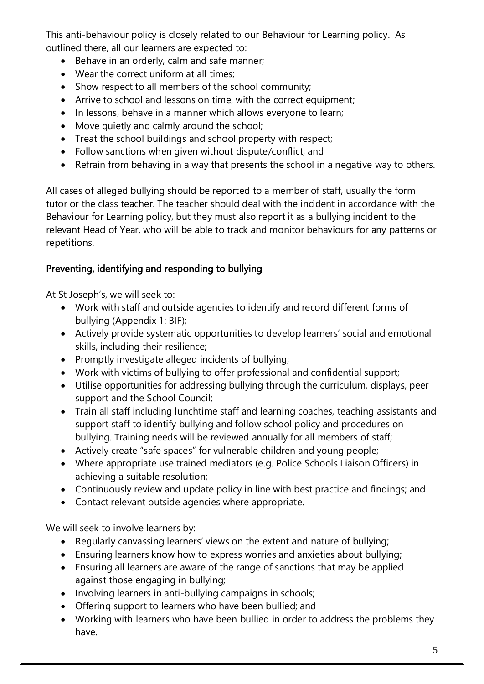This anti-behaviour policy is closely related to our Behaviour for Learning policy. As outlined there, all our learners are expected to:

- Behave in an orderly, calm and safe manner;
- Wear the correct uniform at all times;
- Show respect to all members of the school community;
- Arrive to school and lessons on time, with the correct equipment;
- In lessons, behave in a manner which allows everyone to learn;
- Move quietly and calmly around the school;
- Treat the school buildings and school property with respect;
- Follow sanctions when given without dispute/conflict; and
- Refrain from behaving in a way that presents the school in a negative way to others.

All cases of alleged bullying should be reported to a member of staff, usually the form tutor or the class teacher. The teacher should deal with the incident in accordance with the Behaviour for Learning policy, but they must also report it as a bullying incident to the relevant Head of Year, who will be able to track and monitor behaviours for any patterns or repetitions.

# Preventing, identifying and responding to bullying

At St Joseph's, we will seek to:

- Work with staff and outside agencies to identify and record different forms of bullying (Appendix 1: BIF);
- Actively provide systematic opportunities to develop learners' social and emotional skills, including their resilience;
- Promptly investigate alleged incidents of bullying;
- Work with victims of bullying to offer professional and confidential support;
- Utilise opportunities for addressing bullying through the curriculum, displays, peer support and the School Council;
- Train all staff including lunchtime staff and learning coaches, teaching assistants and support staff to identify bullying and follow school policy and procedures on bullying. Training needs will be reviewed annually for all members of staff;
- Actively create "safe spaces" for vulnerable children and young people;
- Where appropriate use trained mediators (e.g. Police Schools Liaison Officers) in achieving a suitable resolution;
- Continuously review and update policy in line with best practice and findings; and
- Contact relevant outside agencies where appropriate.

We will seek to involve learners by:

- Regularly canvassing learners' views on the extent and nature of bullying;
- Ensuring learners know how to express worries and anxieties about bullying;
- Ensuring all learners are aware of the range of sanctions that may be applied against those engaging in bullying;
- Involving learners in anti-bullying campaigns in schools;
- Offering support to learners who have been bullied; and
- Working with learners who have been bullied in order to address the problems they have.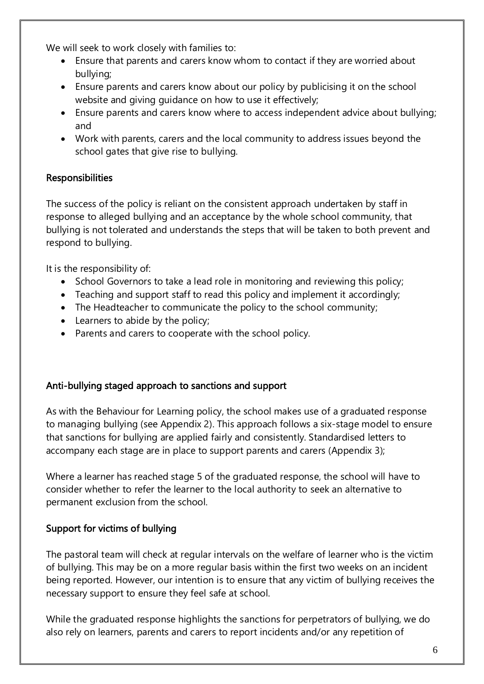We will seek to work closely with families to:

- Ensure that parents and carers know whom to contact if they are worried about bullying;
- Ensure parents and carers know about our policy by publicising it on the school website and giving guidance on how to use it effectively;
- Ensure parents and carers know where to access independent advice about bullying; and
- Work with parents, carers and the local community to address issues beyond the school gates that give rise to bullying.

# Responsibilities

The success of the policy is reliant on the consistent approach undertaken by staff in response to alleged bullying and an acceptance by the whole school community, that bullying is not tolerated and understands the steps that will be taken to both prevent and respond to bullying.

It is the responsibility of:

- School Governors to take a lead role in monitoring and reviewing this policy;
- Teaching and support staff to read this policy and implement it accordingly;
- The Headteacher to communicate the policy to the school community;
- Learners to abide by the policy;
- Parents and carers to cooperate with the school policy.

# Anti-bullying staged approach to sanctions and support

As with the Behaviour for Learning policy, the school makes use of a graduated response to managing bullying (see Appendix 2). This approach follows a six-stage model to ensure that sanctions for bullying are applied fairly and consistently. Standardised letters to accompany each stage are in place to support parents and carers (Appendix 3);

Where a learner has reached stage 5 of the graduated response, the school will have to consider whether to refer the learner to the local authority to seek an alternative to permanent exclusion from the school.

# Support for victims of bullying

The pastoral team will check at regular intervals on the welfare of learner who is the victim of bullying. This may be on a more regular basis within the first two weeks on an incident being reported. However, our intention is to ensure that any victim of bullying receives the necessary support to ensure they feel safe at school.

While the graduated response highlights the sanctions for perpetrators of bullying, we do also rely on learners, parents and carers to report incidents and/or any repetition of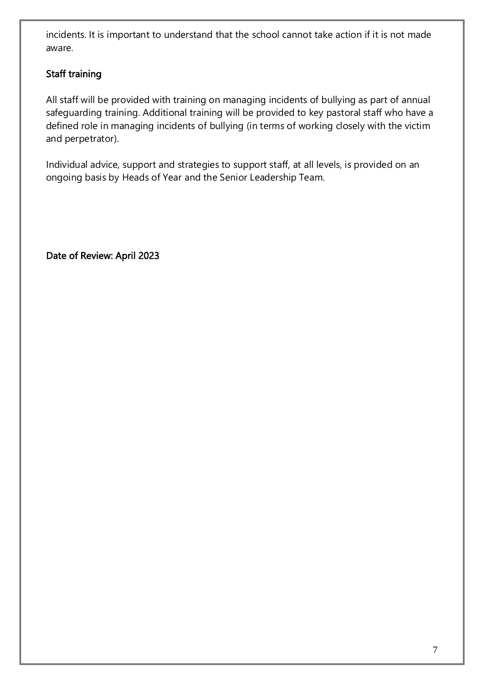incidents. It is important to understand that the school cannot take action if it is not made aware.

# Staff training

All staff will be provided with training on managing incidents of bullying as part of annual safeguarding training. Additional training will be provided to key pastoral staff who have a defined role in managing incidents of bullying (in terms of working closely with the victim and perpetrator).

Individual advice, support and strategies to support staff, at all levels, is provided on an ongoing basis by Heads of Year and the Senior Leadership Team.

Date of Review: April 2023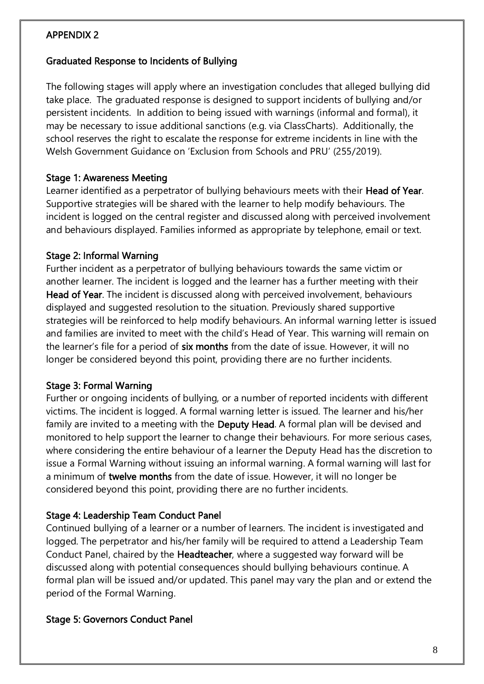## APPENDIX 2

## Graduated Response to Incidents of Bullying

The following stages will apply where an investigation concludes that alleged bullying did take place. The graduated response is designed to support incidents of bullying and/or persistent incidents. In addition to being issued with warnings (informal and formal), it may be necessary to issue additional sanctions (e.g. via ClassCharts). Additionally, the school reserves the right to escalate the response for extreme incidents in line with the Welsh Government Guidance on 'Exclusion from Schools and PRU' (255/2019).

## Stage 1: Awareness Meeting

Learner identified as a perpetrator of bullying behaviours meets with their Head of Year. Supportive strategies will be shared with the learner to help modify behaviours. The incident is logged on the central register and discussed along with perceived involvement and behaviours displayed. Families informed as appropriate by telephone, email or text.

## Stage 2: Informal Warning

Further incident as a perpetrator of bullying behaviours towards the same victim or another learner. The incident is logged and the learner has a further meeting with their Head of Year. The incident is discussed along with perceived involvement, behaviours displayed and suggested resolution to the situation. Previously shared supportive strategies will be reinforced to help modify behaviours. An informal warning letter is issued and families are invited to meet with the child's Head of Year. This warning will remain on the learner's file for a period of six months from the date of issue. However, it will no longer be considered beyond this point, providing there are no further incidents.

## Stage 3: Formal Warning

Further or ongoing incidents of bullying, or a number of reported incidents with different victims. The incident is logged. A formal warning letter is issued. The learner and his/her family are invited to a meeting with the Deputy Head. A formal plan will be devised and monitored to help support the learner to change their behaviours. For more serious cases, where considering the entire behaviour of a learner the Deputy Head has the discretion to issue a Formal Warning without issuing an informal warning. A formal warning will last for a minimum of twelve months from the date of issue. However, it will no longer be considered beyond this point, providing there are no further incidents.

# Stage 4: Leadership Team Conduct Panel

Continued bullying of a learner or a number of learners. The incident is investigated and logged. The perpetrator and his/her family will be required to attend a Leadership Team Conduct Panel, chaired by the Headteacher, where a suggested way forward will be discussed along with potential consequences should bullying behaviours continue. A formal plan will be issued and/or updated. This panel may vary the plan and or extend the period of the Formal Warning.

## Stage 5: Governors Conduct Panel